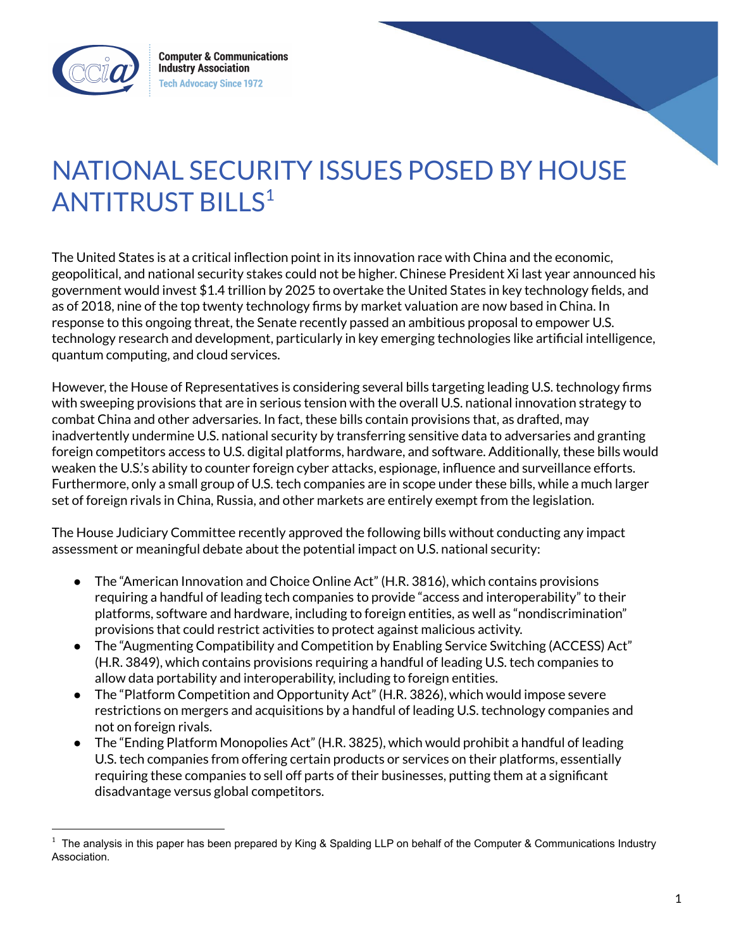

# NATIONAL SECURITY ISSUES POSED BY HOUSE ANTITRUST BILLS<sup>1</sup>

The United States is at a critical inflection point in its innovation race with China and the economic, geopolitical, and national security stakes could not be higher. Chinese President Xi last year announced his government would invest \$1.4 trillion by 2025 to overtake the United States in key technology fields, and as of 2018, nine of the top twenty technology firms by market valuation are now based in China. In response to this ongoing threat, the Senate recently passed an ambitious proposal to empower U.S. technology research and development, particularly in key emerging technologies like artificial intelligence, quantum computing, and cloud services.

However, the House of Representatives is considering several bills targeting leading U.S. technology firms with sweeping provisions that are in serious tension with the overall U.S. national innovation strategy to combat China and other adversaries. In fact, these bills contain provisions that, as drafted, may inadvertently undermine U.S. national security by transferring sensitive data to adversaries and granting foreign competitors access to U.S. digital platforms, hardware, and software. Additionally, these bills would weaken the U.S.'s ability to counter foreign cyber attacks, espionage, influence and surveillance efforts. Furthermore, only a small group of U.S. tech companies are in scope under these bills, while a much larger set of foreign rivals in China, Russia, and other markets are entirely exempt from the legislation.

The House Judiciary Committee recently approved the following bills without conducting any impact assessment or meaningful debate about the potential impact on U.S. national security:

- The "American Innovation and Choice Online Act" (H.R. 3816), which contains provisions requiring a handful of leading tech companies to provide "access and interoperability" to their platforms, software and hardware, including to foreign entities, as well as "nondiscrimination" provisions that could restrict activities to protect against malicious activity.
- The "Augmenting Compatibility and Competition by Enabling Service Switching (ACCESS) Act" (H.R. 3849), which contains provisions requiring a handful of leading U.S. tech companies to allow data portability and interoperability, including to foreign entities.
- The "Platform Competition and Opportunity Act" (H.R. 3826), which would impose severe restrictions on mergers and acquisitions by a handful of leading U.S. technology companies and not on foreign rivals.
- The "Ending Platform Monopolies Act" (H.R. 3825), which would prohibit a handful of leading U.S. tech companies from offering certain products or services on their platforms, essentially requiring these companies to sell off parts of their businesses, putting them at a significant disadvantage versus global competitors.

 $1$  The analysis in this paper has been prepared by King & Spalding LLP on behalf of the Computer & Communications Industry Association.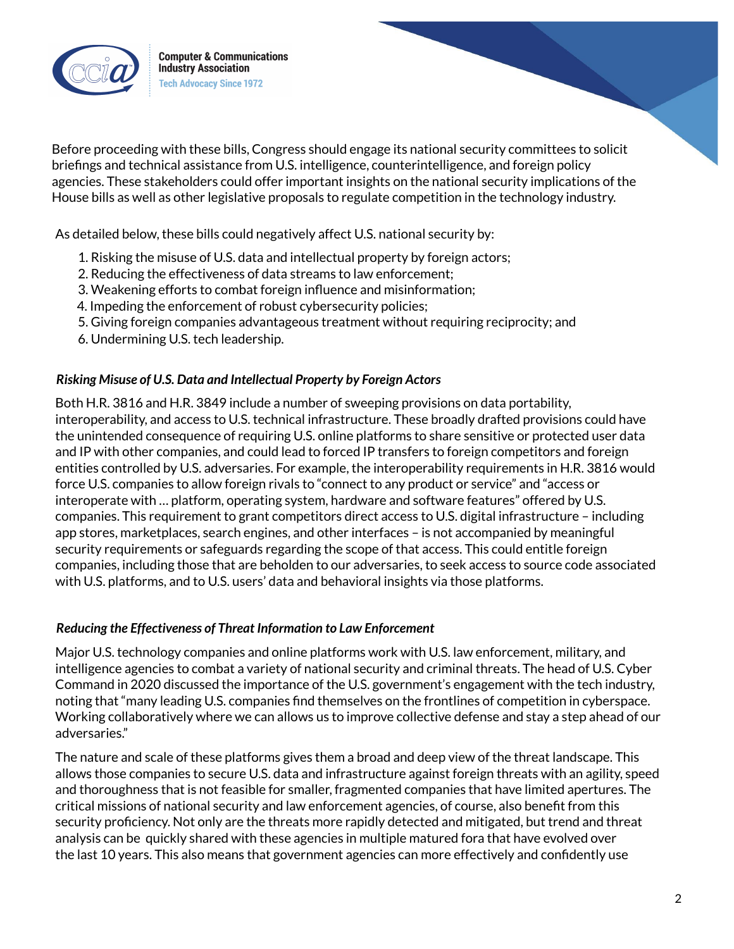

Before proceeding with these bills, Congress should engage its national security committees to solicit briefings and technical assistance from U.S. intelligence, counterintelligence, and foreign policy agencies. These stakeholders could offer important insights on the national security implications of the House bills as well as other legislative proposals to regulate competition in the technology industry.

As detailed below, these bills could negatively affect U.S. national security by:

- 1. Risking the misuse of U.S. data and intellectual property by foreign actors;
- 2. Reducing the effectiveness of data streams to law enforcement;
- 3. Weakening efforts to combat foreign influence and misinformation;
- 4. Impeding the enforcement of robust cybersecurity policies;
- 5. Giving foreign companies advantageous treatment without requiring reciprocity; and
- 6. Undermining U.S. tech leadership.

## *Risking Misuse of U.S. Data and Intellectual Property by Foreign Actors*

Both H.R. 3816 and H.R. 3849 include a number of sweeping provisions on data portability, interoperability, and access to U.S. technical infrastructure. These broadly drafted provisions could have the unintended consequence of requiring U.S. online platforms to share sensitive or protected user data and IP with other companies, and could lead to forced IP transfers to foreign competitors and foreign entities controlled by U.S. adversaries. For example, the interoperability requirements in H.R. 3816 would force U.S. companies to allow foreign rivals to "connect to any product or service" and "access or interoperate with … platform, operating system, hardware and software features" offered by U.S. companies. This requirement to grant competitors direct access to U.S. digital infrastructure – including app stores, marketplaces, search engines, and other interfaces – is not accompanied by meaningful security requirements or safeguards regarding the scope of that access. This could entitle foreign companies, including those that are beholden to our adversaries, to seek access to source code associated with U.S. platforms, and to U.S. users' data and behavioral insights via those platforms.

#### *Reducing the Effectiveness of Threat Information to Law Enforcement*

Major U.S. technology companies and online platforms work with U.S. law enforcement, military, and intelligence agencies to combat a variety of national security and criminal threats. The head of U.S. Cyber Command in 2020 discussed the importance of the U.S. government's engagement with the tech industry, noting that "many leading U.S. companies find themselves on the frontlines of competition in cyberspace. Working collaboratively where we can allows us to improve collective defense and stay a step ahead of our adversaries."

The nature and scale of these platforms gives them a broad and deep view of the threat landscape. This allows those companies to secure U.S. data and infrastructure against foreign threats with an agility, speed and thoroughness that is not feasible for smaller, fragmented companies that have limited apertures. The critical missions of national security and law enforcement agencies, of course, also benefit from this security proficiency. Not only are the threats more rapidly detected and mitigated, but trend and threat analysis can be quickly shared with these agencies in multiple matured fora that have evolved over the last 10 years. This also means that government agencies can more effectively and confidently use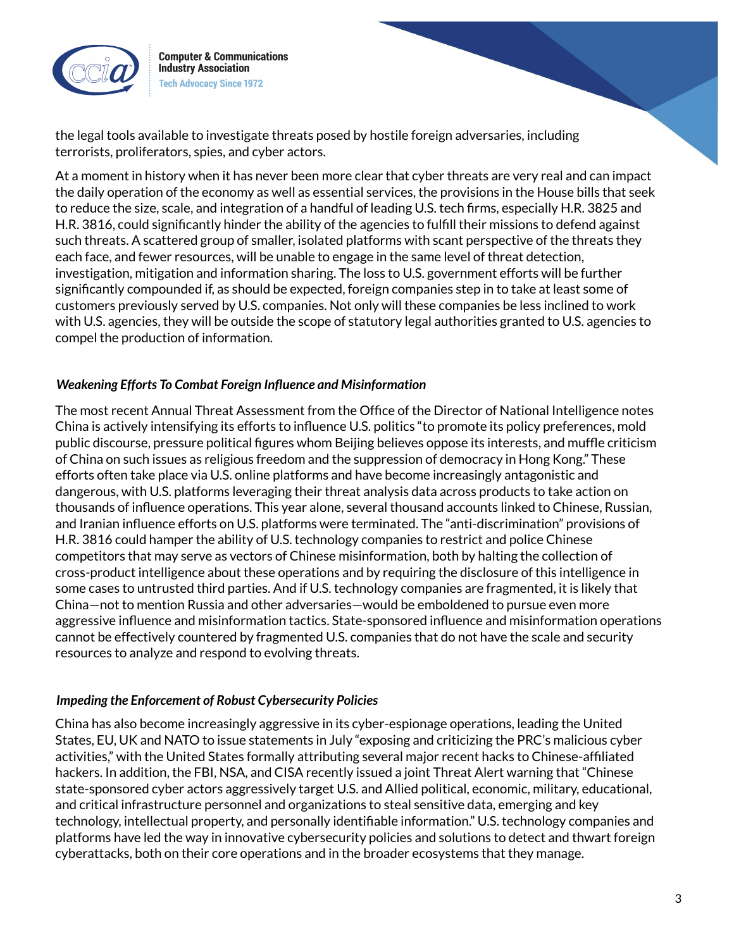

the legal tools available to investigate threats posed by hostile foreign adversaries, including terrorists, proliferators, spies, and cyber actors.

At a moment in history when it has never been more clear that cyber threats are very real and can impact the daily operation of the economy as well as essential services, the provisions in the House bills that seek to reduce the size, scale, and integration of a handful of leading U.S. tech firms, especially H.R. 3825 and H.R. 3816, could significantly hinder the ability of the agencies to fulfill their missions to defend against such threats. A scattered group of smaller, isolated platforms with scant perspective of the threats they each face, and fewer resources, will be unable to engage in the same level of threat detection, investigation, mitigation and information sharing. The loss to U.S. government efforts will be further significantly compounded if, as should be expected, foreign companies step in to take at least some of customers previously served by U.S. companies. Not only will these companies be less inclined to work with U.S. agencies, they will be outside the scope of statutory legal authorities granted to U.S. agencies to compel the production of information.

# *Weakening Efforts To Combat Foreign Influence and Misinformation*

The most recent Annual Threat Assessment from the Office of the Director of National Intelligence notes China is actively intensifying its efforts to influence U.S. politics "to promote its policy preferences, mold public discourse, pressure political figures whom Beijing believes oppose its interests, and muffle criticism of China on such issues as religious freedom and the suppression of democracy in Hong Kong." These efforts often take place via U.S. online platforms and have become increasingly antagonistic and dangerous, with U.S. platforms leveraging their threat analysis data across products to take action on thousands of influence operations. This year alone, several thousand accounts linked to Chinese, Russian, and Iranian influence efforts on U.S. platforms were terminated. The "anti-discrimination" provisions of H.R. 3816 could hamper the ability of U.S. technology companies to restrict and police Chinese competitors that may serve as vectors of Chinese misinformation, both by halting the collection of cross-product intelligence about these operations and by requiring the disclosure of this intelligence in some cases to untrusted third parties. And if U.S. technology companies are fragmented, it is likely that China—not to mention Russia and other adversaries—would be emboldened to pursue even more aggressive influence and misinformation tactics. State-sponsored influence and misinformation operations cannot be effectively countered by fragmented U.S. companies that do not have the scale and security resources to analyze and respond to evolving threats.

#### *Impeding the Enforcement of Robust Cybersecurity Policies*

China has also become increasingly aggressive in its cyber-espionage operations, leading the United States, EU, UK and NATO to issue statements in July "exposing and criticizing the PRC's malicious cyber activities," with the United States formally attributing several major recent hacks to Chinese-affiliated hackers. In addition, the FBI, NSA, and CISA recently issued a joint Threat Alert warning that "Chinese state-sponsored cyber actors aggressively target U.S. and Allied political, economic, military, educational, and critical infrastructure personnel and organizations to steal sensitive data, emerging and key technology, intellectual property, and personally identifiable information." U.S. technology companies and platforms have led the way in innovative cybersecurity policies and solutions to detect and thwart foreign cyberattacks, both on their core operations and in the broader ecosystems that they manage.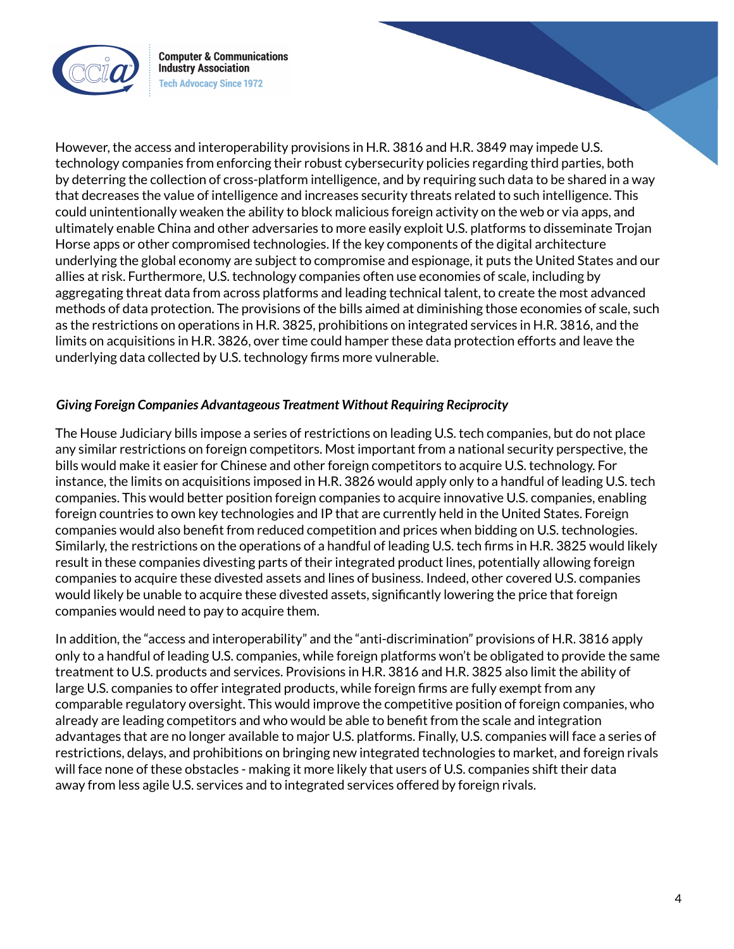

However, the access and interoperability provisions in H.R. 3816 and H.R. 3849 may impede U.S. technology companies from enforcing their robust cybersecurity policies regarding third parties, both by deterring the collection of cross-platform intelligence, and by requiring such data to be shared in a way that decreases the value of intelligence and increases security threats related to such intelligence. This could unintentionally weaken the ability to block malicious foreign activity on the web or via apps, and ultimately enable China and other adversaries to more easily exploit U.S. platforms to disseminate Trojan Horse apps or other compromised technologies. If the key components of the digital architecture underlying the global economy are subject to compromise and espionage, it puts the United States and our allies at risk. Furthermore, U.S. technology companies often use economies of scale, including by aggregating threat data from across platforms and leading technical talent, to create the most advanced methods of data protection. The provisions of the bills aimed at diminishing those economies of scale, such as the restrictions on operations in H.R. 3825, prohibitions on integrated services in H.R. 3816, and the limits on acquisitions in H.R. 3826, over time could hamper these data protection efforts and leave the underlying data collected by U.S. technology firms more vulnerable.

## *Giving Foreign Companies Advantageous Treatment Without Requiring Reciprocity*

The House Judiciary bills impose a series of restrictions on leading U.S. tech companies, but do not place any similar restrictions on foreign competitors. Most important from a national security perspective, the bills would make it easier for Chinese and other foreign competitors to acquire U.S. technology. For instance, the limits on acquisitions imposed in H.R. 3826 would apply only to a handful of leading U.S. tech companies. This would better position foreign companies to acquire innovative U.S. companies, enabling foreign countries to own key technologies and IP that are currently held in the United States. Foreign companies would also benefit from reduced competition and prices when bidding on U.S. technologies. Similarly, the restrictions on the operations of a handful of leading U.S. tech firms in H.R. 3825 would likely result in these companies divesting parts of their integrated product lines, potentially allowing foreign companies to acquire these divested assets and lines of business. Indeed, other covered U.S. companies would likely be unable to acquire these divested assets, significantly lowering the price that foreign companies would need to pay to acquire them.

In addition, the "access and interoperability" and the "anti-discrimination" provisions of H.R. 3816 apply only to a handful of leading U.S. companies, while foreign platforms won't be obligated to provide the same treatment to U.S. products and services. Provisions in H.R. 3816 and H.R. 3825 also limit the ability of large U.S. companies to offer integrated products, while foreign firms are fully exempt from any comparable regulatory oversight. This would improve the competitive position of foreign companies, who already are leading competitors and who would be able to benefit from the scale and integration advantages that are no longer available to major U.S. platforms. Finally, U.S. companies will face a series of restrictions, delays, and prohibitions on bringing new integrated technologies to market, and foreign rivals will face none of these obstacles - making it more likely that users of U.S. companies shift their data away from less agile U.S. services and to integrated services offered by foreign rivals.